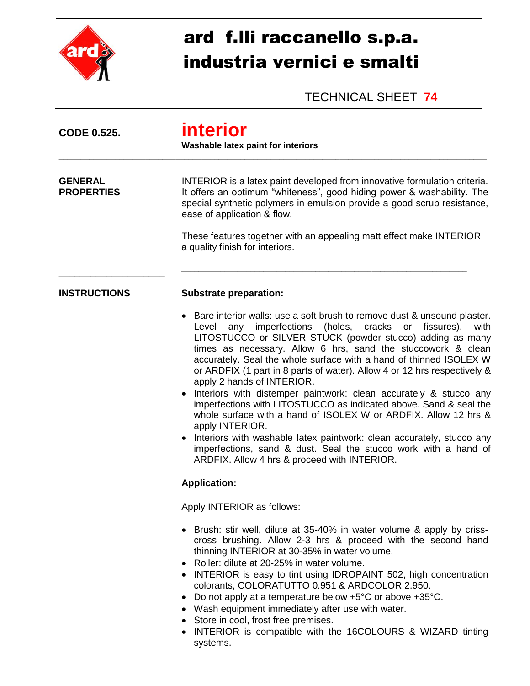

## ard f.lli raccanello s.p.a. industria vernici e smalti

TECHNICAL SHEET **74**

| <b>CODE 0.525.</b>                  | <u>interior</u><br><b>Washable latex paint for interiors</b>                                                                                                                                                                                                                                                                                                                                                                                                                                                                                                                                                                                                                                                                                                                                                                                                                                       |  |  |
|-------------------------------------|----------------------------------------------------------------------------------------------------------------------------------------------------------------------------------------------------------------------------------------------------------------------------------------------------------------------------------------------------------------------------------------------------------------------------------------------------------------------------------------------------------------------------------------------------------------------------------------------------------------------------------------------------------------------------------------------------------------------------------------------------------------------------------------------------------------------------------------------------------------------------------------------------|--|--|
| <b>GENERAL</b><br><b>PROPERTIES</b> | INTERIOR is a latex paint developed from innovative formulation criteria.<br>It offers an optimum "whiteness", good hiding power & washability. The<br>special synthetic polymers in emulsion provide a good scrub resistance,<br>ease of application & flow.                                                                                                                                                                                                                                                                                                                                                                                                                                                                                                                                                                                                                                      |  |  |
|                                     | These features together with an appealing matt effect make INTERIOR<br>a quality finish for interiors.                                                                                                                                                                                                                                                                                                                                                                                                                                                                                                                                                                                                                                                                                                                                                                                             |  |  |
| <b>INSTRUCTIONS</b>                 | <b>Substrate preparation:</b>                                                                                                                                                                                                                                                                                                                                                                                                                                                                                                                                                                                                                                                                                                                                                                                                                                                                      |  |  |
|                                     | Bare interior walls: use a soft brush to remove dust & unsound plaster.<br>imperfections<br>(holes,<br>cracks<br>fissures),<br>Level<br>any<br>or<br>with<br>LITOSTUCCO or SILVER STUCK (powder stucco) adding as many<br>times as necessary. Allow 6 hrs, sand the stuccowork & clean<br>accurately. Seal the whole surface with a hand of thinned ISOLEX W<br>or ARDFIX (1 part in 8 parts of water). Allow 4 or 12 hrs respectively &<br>apply 2 hands of INTERIOR.<br>Interiors with distemper paintwork: clean accurately & stucco any<br>imperfections with LITOSTUCCO as indicated above. Sand & seal the<br>whole surface with a hand of ISOLEX W or ARDFIX. Allow 12 hrs &<br>apply INTERIOR.<br>Interiors with washable latex paintwork: clean accurately, stucco any<br>imperfections, sand & dust. Seal the stucco work with a hand of<br>ARDFIX. Allow 4 hrs & proceed with INTERIOR. |  |  |
|                                     | <b>Application:</b>                                                                                                                                                                                                                                                                                                                                                                                                                                                                                                                                                                                                                                                                                                                                                                                                                                                                                |  |  |
|                                     | Apply INTERIOR as follows:                                                                                                                                                                                                                                                                                                                                                                                                                                                                                                                                                                                                                                                                                                                                                                                                                                                                         |  |  |
|                                     | Brush: stir well, dilute at 35-40% in water volume & apply by criss-<br>$\bullet$<br>cross brushing. Allow 2-3 hrs & proceed with the second hand<br>thinning INTERIOR at 30-35% in water volume.<br>• Roller: dilute at 20-25% in water volume.<br>• INTERIOR is easy to tint using IDROPAINT 502, high concentration<br>colorants, COLORATUTTO 0.951 & ARDCOLOR 2.950.<br>Do not apply at a temperature below +5°C or above +35°C.<br>٠<br>• Wash equipment immediately after use with water.<br>• Store in cool, frost free premises.<br>• INTERIOR is compatible with the 16COLOURS & WIZARD tinting<br>systems.                                                                                                                                                                                                                                                                               |  |  |